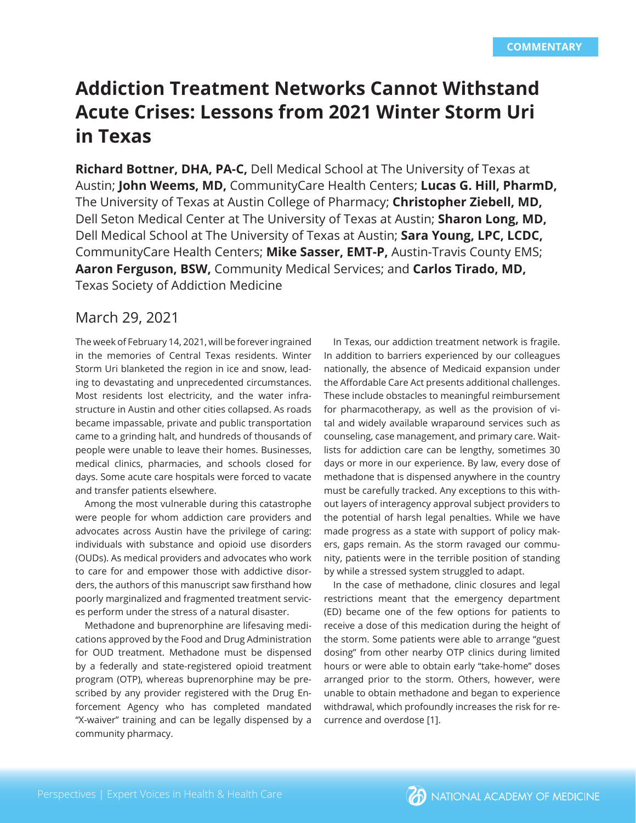# **Addiction Treatment Networks Cannot Withstand Acute Crises: Lessons from 2021 Winter Storm Uri in Texas**

**Richard Bottner, DHA, PA-C,** Dell Medical School at The University of Texas at Austin; **John Weems, MD,** CommunityCare Health Centers; **Lucas G. Hill, PharmD,**  The University of Texas at Austin College of Pharmacy; **Christopher Ziebell, MD,**  Dell Seton Medical Center at The University of Texas at Austin; **Sharon Long, MD,**  Dell Medical School at The University of Texas at Austin; **Sara Young, LPC, LCDC,**  CommunityCare Health Centers; **Mike Sasser, EMT-P,** Austin-Travis County EMS; **Aaron Ferguson, BSW,** Community Medical Services; and **Carlos Tirado, MD,**  Texas Society of Addiction Medicine

# March 29, 2021

The week of February 14, 2021, will be forever ingrained in the memories of Central Texas residents. Winter Storm Uri blanketed the region in ice and snow, leading to devastating and unprecedented circumstances. Most residents lost electricity, and the water infrastructure in Austin and other cities collapsed. As roads became impassable, private and public transportation came to a grinding halt, and hundreds of thousands of people were unable to leave their homes. Businesses, medical clinics, pharmacies, and schools closed for days. Some acute care hospitals were forced to vacate and transfer patients elsewhere.

Among the most vulnerable during this catastrophe were people for whom addiction care providers and advocates across Austin have the privilege of caring: individuals with substance and opioid use disorders (OUDs). As medical providers and advocates who work to care for and empower those with addictive disorders, the authors of this manuscript saw firsthand how poorly marginalized and fragmented treatment services perform under the stress of a natural disaster.

Methadone and buprenorphine are lifesaving medications approved by the Food and Drug Administration for OUD treatment. Methadone must be dispensed by a federally and state-registered opioid treatment program (OTP), whereas buprenorphine may be prescribed by any provider registered with the Drug Enforcement Agency who has completed mandated "X-waiver" training and can be legally dispensed by a community pharmacy.

In Texas, our addiction treatment network is fragile. In addition to barriers experienced by our colleagues nationally, the absence of Medicaid expansion under the Affordable Care Act presents additional challenges. These include obstacles to meaningful reimbursement for pharmacotherapy, as well as the provision of vital and widely available wraparound services such as counseling, case management, and primary care. Waitlists for addiction care can be lengthy, sometimes 30 days or more in our experience. By law, every dose of methadone that is dispensed anywhere in the country must be carefully tracked. Any exceptions to this without layers of interagency approval subject providers to the potential of harsh legal penalties. While we have made progress as a state with support of policy makers, gaps remain. As the storm ravaged our community, patients were in the terrible position of standing by while a stressed system struggled to adapt.

In the case of methadone, clinic closures and legal restrictions meant that the emergency department (ED) became one of the few options for patients to receive a dose of this medication during the height of the storm. Some patients were able to arrange "guest dosing" from other nearby OTP clinics during limited hours or were able to obtain early "take-home" doses arranged prior to the storm. Others, however, were unable to obtain methadone and began to experience withdrawal, which profoundly increases the risk for recurrence and overdose [1].

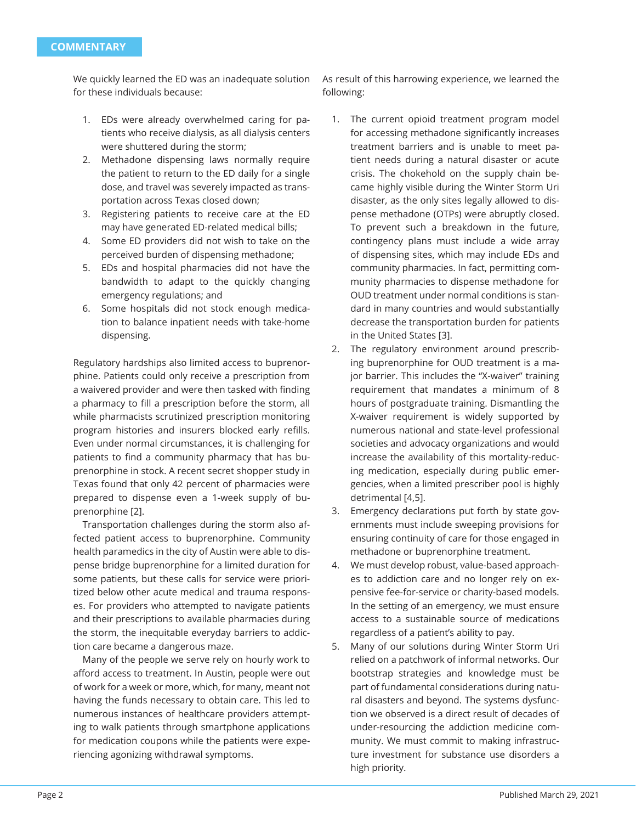We quickly learned the ED was an inadequate solution for these individuals because:

- 1. EDs were already overwhelmed caring for patients who receive dialysis, as all dialysis centers were shuttered during the storm;
- 2. Methadone dispensing laws normally require the patient to return to the ED daily for a single dose, and travel was severely impacted as transportation across Texas closed down;
- 3. Registering patients to receive care at the ED may have generated ED-related medical bills;
- 4. Some ED providers did not wish to take on the perceived burden of dispensing methadone;
- 5. EDs and hospital pharmacies did not have the bandwidth to adapt to the quickly changing emergency regulations; and
- 6. Some hospitals did not stock enough medication to balance inpatient needs with take-home dispensing.

Regulatory hardships also limited access to buprenorphine. Patients could only receive a prescription from a waivered provider and were then tasked with finding a pharmacy to fill a prescription before the storm, all while pharmacists scrutinized prescription monitoring program histories and insurers blocked early refills. Even under normal circumstances, it is challenging for patients to find a community pharmacy that has buprenorphine in stock. A recent secret shopper study in Texas found that only 42 percent of pharmacies were prepared to dispense even a 1-week supply of buprenorphine [2].

Transportation challenges during the storm also affected patient access to buprenorphine. Community health paramedics in the city of Austin were able to dispense bridge buprenorphine for a limited duration for some patients, but these calls for service were prioritized below other acute medical and trauma responses. For providers who attempted to navigate patients and their prescriptions to available pharmacies during the storm, the inequitable everyday barriers to addiction care became a dangerous maze.

Many of the people we serve rely on hourly work to afford access to treatment. In Austin, people were out of work for a week or more, which, for many, meant not having the funds necessary to obtain care. This led to numerous instances of healthcare providers attempting to walk patients through smartphone applications for medication coupons while the patients were experiencing agonizing withdrawal symptoms.

As result of this harrowing experience, we learned the following:

- 1. The current opioid treatment program model for accessing methadone significantly increases treatment barriers and is unable to meet patient needs during a natural disaster or acute crisis. The chokehold on the supply chain became highly visible during the Winter Storm Uri disaster, as the only sites legally allowed to dispense methadone (OTPs) were abruptly closed. To prevent such a breakdown in the future, contingency plans must include a wide array of dispensing sites, which may include EDs and community pharmacies. In fact, permitting community pharmacies to dispense methadone for OUD treatment under normal conditions is standard in many countries and would substantially decrease the transportation burden for patients in the United States [3].
- 2. The regulatory environment around prescribing buprenorphine for OUD treatment is a major barrier. This includes the "X-waiver" training requirement that mandates a minimum of 8 hours of postgraduate training. Dismantling the X-waiver requirement is widely supported by numerous national and state-level professional societies and advocacy organizations and would increase the availability of this mortality-reducing medication, especially during public emergencies, when a limited prescriber pool is highly detrimental [4,5].
- 3. Emergency declarations put forth by state governments must include sweeping provisions for ensuring continuity of care for those engaged in methadone or buprenorphine treatment.
- 4. We must develop robust, value-based approaches to addiction care and no longer rely on expensive fee-for-service or charity-based models. In the setting of an emergency, we must ensure access to a sustainable source of medications regardless of a patient's ability to pay.
- 5. Many of our solutions during Winter Storm Uri relied on a patchwork of informal networks. Our bootstrap strategies and knowledge must be part of fundamental considerations during natural disasters and beyond. The systems dysfunction we observed is a direct result of decades of under-resourcing the addiction medicine community. We must commit to making infrastructure investment for substance use disorders a high priority.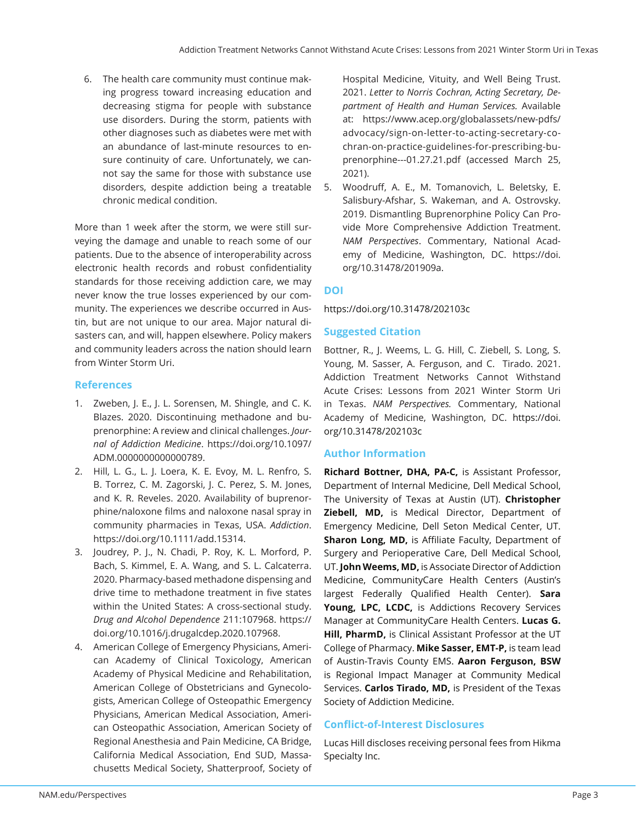6. The health care community must continue making progress toward increasing education and decreasing stigma for people with substance use disorders. During the storm, patients with other diagnoses such as diabetes were met with an abundance of last-minute resources to ensure continuity of care. Unfortunately, we cannot say the same for those with substance use disorders, despite addiction being a treatable chronic medical condition.

More than 1 week after the storm, we were still surveying the damage and unable to reach some of our patients. Due to the absence of interoperability across electronic health records and robust confidentiality standards for those receiving addiction care, we may never know the true losses experienced by our community. The experiences we describe occurred in Austin, but are not unique to our area. Major natural disasters can, and will, happen elsewhere. Policy makers and community leaders across the nation should learn from Winter Storm Uri.

### **References**

- 1. Zweben, J. E., J. L. Sorensen, M. Shingle, and C. K. Blazes. 2020. Discontinuing methadone and buprenorphine: A review and clinical challenges. *Journal of Addiction Medicine*. https://doi.org/10.1097/ ADM.0000000000000789.
- 2. Hill, L. G., L. J. Loera, K. E. Evoy, M. L. Renfro, S. B. Torrez, C. M. Zagorski, J. C. Perez, S. M. Jones, and K. R. Reveles. 2020. Availability of buprenorphine/naloxone films and naloxone nasal spray in community pharmacies in Texas, USA. *Addiction*. https://doi.org/10.1111/add.15314.
- 3. Joudrey, P. J., N. Chadi, P. Roy, K. L. Morford, P. Bach, S. Kimmel, E. A. Wang, and S. L. Calcaterra. 2020. Pharmacy-based methadone dispensing and drive time to methadone treatment in five states within the United States: A cross-sectional study. *Drug and Alcohol Dependence* 211:107968. https:// doi.org/10.1016/j.drugalcdep.2020.107968.
- 4. American College of Emergency Physicians, American Academy of Clinical Toxicology, American Academy of Physical Medicine and Rehabilitation, American College of Obstetricians and Gynecologists, American College of Osteopathic Emergency Physicians, American Medical Association, American Osteopathic Association, American Society of Regional Anesthesia and Pain Medicine, CA Bridge, California Medical Association, End SUD, Massachusetts Medical Society, Shatterproof, Society of

Hospital Medicine, Vituity, and Well Being Trust. 2021. *Letter to Norris Cochran, Acting Secretary, Department of Health and Human Services.* Available at: https://www.acep.org/globalassets/new-pdfs/ advocacy/sign-on-letter-to-acting-secretary-cochran-on-practice-guidelines-for-prescribing-buprenorphine---01.27.21.pdf (accessed March 25, 2021).

5. Woodruff, A. E., M. Tomanovich, L. Beletsky, E. Salisbury-Afshar, S. Wakeman, and A. Ostrovsky. 2019. Dismantling Buprenorphine Policy Can Provide More Comprehensive Addiction Treatment. *NAM Perspectives*. Commentary, National Academy of Medicine, Washington, DC. https://doi. org/10.31478/201909a.

# **DOI**

https://doi.org/10.31478/202103c

# **Suggested Citation**

Bottner, R., J. Weems, L. G. Hill, C. Ziebell, S. Long, S. Young, M. Sasser, A. Ferguson, and C. Tirado. 2021. Addiction Treatment Networks Cannot Withstand Acute Crises: Lessons from 2021 Winter Storm Uri in Texas. *NAM Perspectives.* Commentary, National Academy of Medicine, Washington, DC. https://doi. org/10.31478/202103c

# **Author Information**

**Richard Bottner, DHA, PA-C,** is Assistant Professor, Department of Internal Medicine, Dell Medical School, The University of Texas at Austin (UT). **Christopher Ziebell, MD,** is Medical Director, Department of Emergency Medicine, Dell Seton Medical Center, UT. **Sharon Long, MD, is Affiliate Faculty, Department of** Surgery and Perioperative Care, Dell Medical School, UT. **John Weems, MD,** is Associate Director of Addiction Medicine, CommunityCare Health Centers (Austin's largest Federally Qualified Health Center). Sara **Young, LPC, LCDC,** is Addictions Recovery Services Manager at CommunityCare Health Centers. **Lucas G. Hill, PharmD,** is Clinical Assistant Professor at the UT College of Pharmacy. **Mike Sasser, EMT-P,** is team lead of Austin-Travis County EMS. **Aaron Ferguson, BSW**  is Regional Impact Manager at Community Medical Services. **Carlos Tirado, MD,** is President of the Texas Society of Addiction Medicine.

#### **Confl ict-of-Interest Disclosures**

Lucas Hill discloses receiving personal fees from Hikma Specialty Inc.